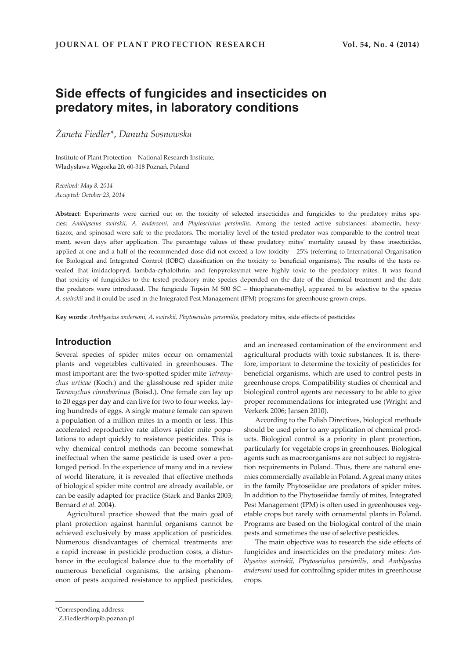# **Side effects of fungicides and insecticides on predatory mites, in laboratory conditions**

*Żaneta Fiedler\**, *Danuta Sosnowska*

Institute of Plant Protection – National Research Institute, Władysława Węgorka 20, 60-318 Poznań, Poland

*Received: May 8, 2014 Accepted: October 23, 2014*

**Abstract**: Experiments were carried out on the toxicity of selected insecticides and fungicides to the predatory mites species: *Amblyseius swirskii, A. andersoni,* and *Phytoseiulus persimilis*. Among the tested active substances: abamectin, hexytiazox, and spinosad were safe to the predators. The mortality level of the tested predator was comparable to the control treatment, seven days after application. The percentage values of these predatory mites' mortality caused by these insecticides, applied at one and a half of the recommended dose did not exceed a low toxicity – 25% (referring to International Organisation for Biological and Integrated Control (IOBC) classification on the toxicity to beneficial organisms). The results of the tests revealed that imidaclopryd, lambda-cyhalothrin, and fenpyroksymat were highly toxic to the predatory mites. It was found that toxicity of fungicides to the tested predatory mite species depended on the date of the chemical treatment and the date the predators were introduced. The fungicide Topsin M 500 SC – thiophanate-methyl, appeared to be selective to the species *A. swirskii* and it could be used in the Integrated Pest Management (IPM) programs for greenhouse grown crops.

**Key words**: *Amblyseius andersoni, A. swirskii, Phytoseiulus persimilis,* predatory mites, side effects of pesticides

# **Introduction**

Several species of spider mites occur on ornamental plants and vegetables cultivated in greenhouses. The most important are: the two-spotted spider mite *Tetranychus urticae* (Koch.) and the glasshouse red spider mite *Tetranychus cinnabarinus* (Boisd.). One female can lay up to 20 eggs per day and can live for two to four weeks, laying hundreds of eggs. A single mature female can spawn a population of a million mites in a month or less. This accelerated reproductive rate allows spider mite populations to adapt quickly to resistance pesticides. This is why chemical control methods can become somewhat ineffectual when the same pesticide is used over a prolonged period. In the experience of many and in a review of world literature, it is revealed that effective methods of biological spider mite control are already available, or can be easily adapted for practice (Stark and Banks 2003; Bernard *et al*. 2004).

Agricultural practice showed that the main goal of plant protection against harmful organisms cannot be achieved exclusively by mass application of pesticides. Numerous disadvantages of chemical treatments are: a rapid increase in pesticide production costs, a disturbance in the ecological balance due to the mortality of numerous beneficial organisms, the arising phenomenon of pests acquired resistance to applied pesticides, and an increased contamination of the environment and agricultural products with toxic substances. It is, therefore, important to determine the toxicity of pesticides for beneficial organisms, which are used to control pests in greenhouse crops. Compatibility studies of chemical and biological control agents are necessary to be able to give proper recommendations for integrated use (Wright and Verkerk 2006; Jansen 2010).

According to the Polish Directives, biological methods should be used prior to any application of chemical products. Biological control is a priority in plant protection, particularly for vegetable crops in greenhouses. Biological agents such as macroorganisms are not subject to registration requirements in Poland. Thus, there are natural enemies commercially available in Poland. A great many mites in the family Phytoseiidae are predators of spider mites. In addition to the Phytoseiidae family of mites, Integrated Pest Management (IPM) is often used in greenhouses vegetable crops but rarely with ornamental plants in Poland. Programs are based on the biological control of the main pests and sometimes the use of selective pesticides.

The main objective was to research the side effects of fungicides and insecticides on the predatory mites: *Amblyseius swirskii, Phytoseiulus persimilis,* and *Amblyseius andersoni* used for controlling spider mites in greenhouse crops.

<sup>\*</sup>Corresponding address:

Z.Fiedler@iorpib.poznan.pl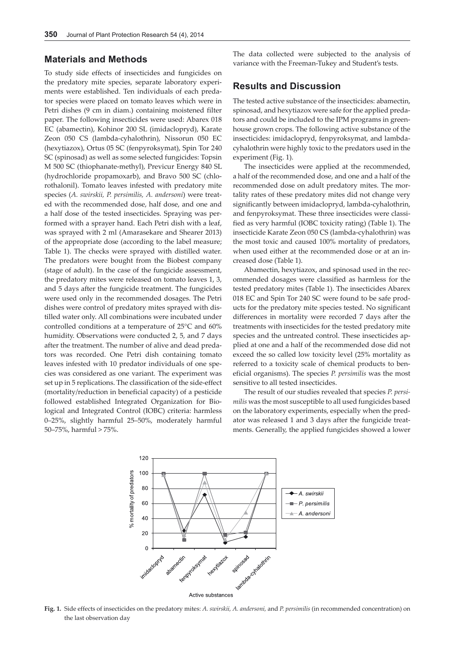#### **Materials and Methods**

To study side effects of insecticides and fungicides on the predatory mite species, separate laboratory experiments were established. Ten individuals of each predator species were placed on tomato leaves which were in Petri dishes (9 cm in diam.) containing moistened filter paper. The following insecticides were used: Abarex 018 EC (abamectin), Kohinor 200 SL (imidaclopryd), Karate Zeon 050 CS (lambda-cyhalothrin), Nissorun 050 EC (hexytiazox), Ortus 05 SC (fenpyroksymat), Spin Tor 240 SC (spinosad) as well as some selected fungicides: Topsin M 500 SC (thiophanate-methyl), Previcur Energy 840 SL (hydrochloride propamoxarb), and Bravo 500 SC (chlorothalonil). Tomato leaves infested with predatory mite species (*A. swirskii, P. persimilis, A. andersoni*) were treated with the recommended dose, half dose, and one and a half dose of the tested insecticides. Spraying was performed with a sprayer hand. Each Petri dish with a leaf, was sprayed with 2 ml (Amarasekare and Shearer 2013) of the appropriate dose (according to the label measure; Table 1). The checks were sprayed with distilled water. The predators were bought from the Biobest company (stage of adult). In the case of the fungicide assessment, the predatory mites were released on tomato leaves 1, 3, and 5 days after the fungicide treatment. The fungicides were used only in the recommended dosages. The Petri dishes were control of predatory mites sprayed with distilled water only. All combinations were incubated under controlled conditions at a temperature of 25°C and 60% humidity. Observations were conducted 2, 5, and 7 days after the treatment. The number of alive and dead predators was recorded. One Petri dish containing tomato leaves infested with 10 predator individuals of one species was considered as one variant. The experiment was set up in 5 replications. The classification of the side-effect (mortality/reduction in beneficial capacity) of a pesticide followed established Integrated Organization for Biological and Integrated Control (IOBC) criteria: harmless 0–25%, slightly harmful 25–50%, moderately harmful 50–75%, harmful > 75%.

The data collected were subjected to the analysis of variance with the Freeman-Tukey and Student's tests.

### **Results and Discussion**

The tested active substance of the insecticides: abamectin, spinosad, and hexytiazox were safe for the applied predators and could be included to the IPM programs in greenhouse grown crops. The following active substance of the insecticides: imidaclopryd, fenpyroksymat, and lambdacyhalothrin were highly toxic to the predators used in the experiment (Fig. 1).

The insecticides were applied at the recommended, a half of the recommended dose, and one and a half of the recommended dose on adult predatory mites. The mortality rates of these predatory mites did not change very significantly between imidaclopryd, lambda-cyhalothrin, and fenpyroksymat. These three insecticides were classified as very harmful (IOBC toxicity rating) (Table 1). The insecticide Karate Zeon 050 CS (lambda-cyhalothrin) was the most toxic and caused 100% mortality of predators, when used either at the recommended dose or at an increased dose (Table 1).

Abamectin, hexytiazox, and spinosad used in the recommended dosages were classified as harmless for the tested predatory mites (Table 1). The insecticides Abarex 018 EC and Spin Tor 240 SC were found to be safe products for the predatory mite species tested. No significant differences in mortality were recorded 7 days after the treatments with insecticides for the tested predatory mite species and the untreated control. These insecticides applied at one and a half of the recommended dose did not exceed the so called low toxicity level (25% mortality as referred to a toxicity scale of chemical products to beneficial organisms). The species *P. persimilis* was the most sensitive to all tested insecticides.

The result of our studies revealed that species *P. persimilis* was the most susceptible to all used fungicides based on the laboratory experiments, especially when the predator was released 1 and 3 days after the fungicide treatments. Generally, the applied fungicides showed a lower



**Fig. 1.** Side effects of insecticides on the predatory mites: *A. swirskii, A. andersoni,* and *P. persimilis* (in recommended concentration) on the last observation day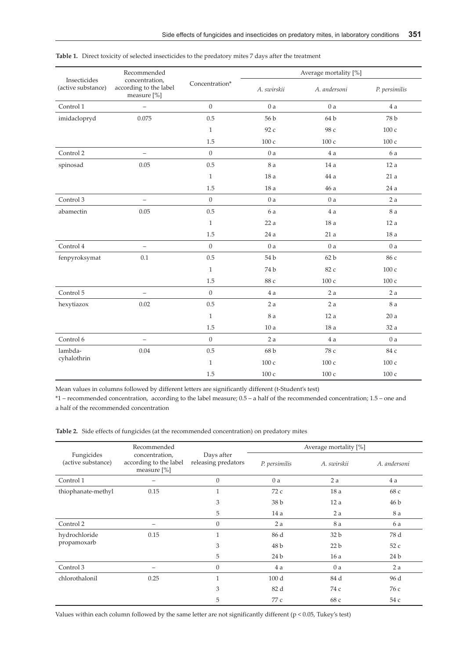| Insecticides<br>(active substance) | Recommended<br>concentration,<br>according to the label<br>measure [%] | Concentration*   | Average mortality [%] |                 |               |  |
|------------------------------------|------------------------------------------------------------------------|------------------|-----------------------|-----------------|---------------|--|
|                                    |                                                                        |                  | A. swirskii           | A. andersoni    | P. persimilis |  |
| Control 1                          |                                                                        | $\overline{0}$   | 0a                    | 0a              | 4 a           |  |
| imidaclopryd                       | 0.075                                                                  | 0.5              | 56 b                  | 64 b            | 78 b          |  |
|                                    |                                                                        | $\mathbf{1}$     | 92 c                  | 98 с            | 100 с         |  |
|                                    |                                                                        | 1.5              | 100 с                 | 100 с           | 100 с         |  |
| Control 2                          | $\equiv$                                                               | $\boldsymbol{0}$ | 0a                    | 4 a             | 6 a           |  |
| spinosad                           | 0.05                                                                   | 0.5              | 8 a                   | 14 a            | 12 a          |  |
|                                    |                                                                        | $\mathbf{1}$     | 18 a                  | 44 a            | 21 a          |  |
|                                    |                                                                        | 1.5              | 18a                   | 46 a            | 24 a          |  |
| Control 3                          |                                                                        | $\overline{0}$   | 0a                    | 0a              | 2a            |  |
| abamectin                          | 0.05                                                                   | 0.5              | 6 a                   | 4 a             | 8 a           |  |
|                                    |                                                                        | $\mathbf{1}$     | 22a                   | 18a             | 12a           |  |
|                                    |                                                                        | 1.5              | 24a                   | 21a             | 18a           |  |
| Control 4                          | $\qquad \qquad -$                                                      | $\boldsymbol{0}$ | 0a                    | 0a              | 0a            |  |
| fenpyroksymat                      | $0.1\,$                                                                | 0.5              | 54 b                  | 62 <sub>b</sub> | 86 с          |  |
|                                    |                                                                        | $\mathbf{1}$     | 74 b                  | 82 с            | 100 с         |  |
|                                    |                                                                        | 1.5              | 88 с                  | 100 с           | 100 с         |  |
| Control 5                          | $\equiv$                                                               | $\boldsymbol{0}$ | 4 a                   | 2a              | 2a            |  |
| hexytiazox                         | 0.02                                                                   | 0.5              | 2a                    | 2a              | 8 a           |  |
|                                    |                                                                        | $\mathbf{1}$     | 8 a                   | 12a             | 20a           |  |
|                                    |                                                                        | 1.5              | 10a                   | 18 a            | 32 a          |  |
| Control 6                          | $\equiv$                                                               | $\mathbf{0}$     | 2a                    | 4 a             | 0a            |  |
| lambda-<br>cyhalothrin             | 0.04                                                                   | $0.5\,$          | 68 b                  | 78 с            | 84 с          |  |
|                                    |                                                                        | $\mathbf{1}$     | 100 с                 | 100 с           | 100 с         |  |
|                                    |                                                                        | 1.5              | 100 с                 | 100 с           | 100 с         |  |

| <b>Table 1.</b> Direct toxicity of selected insecticides to the predatory mites 7 days after the treatment |
|------------------------------------------------------------------------------------------------------------|
|------------------------------------------------------------------------------------------------------------|

Mean values in columns followed by different letters are significantly different (t-Student's test)

\*1 – recommended concentration, according to the label measure; 0.5 – a half of the recommended concentration; 1.5 – one and a half of the recommended concentration

**Table 2.** Side effects of fungicides (at the recommended concentration) on predatory mites

|                                  | Recommended                                             |                                   | Average mortality [%] |                 |              |
|----------------------------------|---------------------------------------------------------|-----------------------------------|-----------------------|-----------------|--------------|
| Fungicides<br>(active substance) | concentration,<br>according to the label<br>measure [%] | Days after<br>releasing predators | P. persimilis         | A. swirskii     | A. andersoni |
| Control 1                        |                                                         | $\mathbf{0}$                      | 0a                    | 2a              | 4 a          |
| thiophanate-methyl               | 0.15                                                    |                                   | 72 c                  | 18a             | 68 c         |
|                                  |                                                         | 3                                 | 38 b                  | 12a             | 46 b         |
|                                  |                                                         | 5                                 | 14a                   | 2a              | 8 a          |
| Control 2                        |                                                         | 0                                 | 2a                    | 8 a             | 6 a          |
| hydrochloride<br>propamoxarb     | 0.15                                                    | 1                                 | 86 d                  | 32 <sub>b</sub> | 78 d         |
|                                  |                                                         | 3                                 | 48 b                  | 22 <sub>b</sub> | 52 c         |
|                                  |                                                         | 5                                 | 24 <sub>b</sub>       | 16a             | 24 b         |
| Control 3                        |                                                         | 0                                 | 4 a                   | 0a              | 2a           |
| chlorothalonil                   | 0.25                                                    | 1                                 | 100 <sub>d</sub>      | 84 d            | 96 d         |
|                                  |                                                         | 3                                 | 82 d                  | 74 c            | 76 с         |
|                                  |                                                         | 5                                 | 77 c                  | 68 c            | 54 c         |

Values within each column followed by the same letter are not significantly different (p < 0.05, Tukey's test)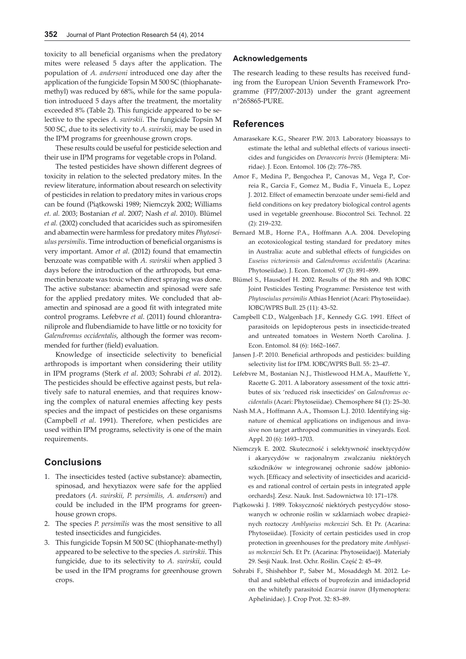toxicity to all beneficial organisms when the predatory mites were released 5 days after the application. The population of *A. andersoni* introduced one day after the application of the fungicide Topsin M 500 SC (thiophanatemethyl) was reduced by 68%, while for the same population introduced 5 days after the treatment, the mortality exceeded 8% (Table 2). This fungicide appeared to be selective to the species *A. swirskii*. The fungicide Topsin M 500 SC, due to its selectivity to *A. swirskii*, may be used in the IPM programs for greenhouse grown crops.

These results could be useful for pesticide selection and their use in IPM programs for vegetable crops in Poland.

The tested pesticides have shown different degrees of toxicity in relation to the selected predatory mites. In the review literature, information about research on selectivity of pesticides in relation to predatory mites in various crops can be found (Piątkowski 1989; Niemczyk 2002; Williams *et. al.* 2003; Bostanian *et al*. 2007; Nash *et al*. 2010). Blümel *et al.* (2002) concluded that acaricides such as spiromesifen and abamectin were harmless for predatory mites *Phytoseiulus persimilis*. Time introduction of beneficial organisms is very important. Amor *et al*. (2012) found that emamectin benzoate was compatible with *A. swirskii* when applied 3 days before the introduction of the arthropods, but emamectin benzoate was toxic when direct spraying was done. The active substance: abamectin and spinosad were safe for the applied predatory mites. We concluded that abamectin and spinosad are a good fit with integrated mite control programs. Lefebvre *et al*. (2011) found chlorantraniliprole and flubendiamide to have little or no toxicity for *Galendromus occidentalis*, although the former was recommended for further (field) evaluation.

Knowledge of insecticide selectivity to beneficial arthropods is important when considering their utility in IPM programs (Sterk *et al*. 2003; Sohrabi *et al*. 2012). The pesticides should be effective against pests, but relatively safe to natural enemies, and that requires knowing the complex of natural enemies affecting key pests species and the impact of pesticides on these organisms (Campbell *et al*. 1991). Therefore, when pesticides are used within IPM programs, selectivity is one of the main requirements.

## **Conclusions**

- 1. The insecticides tested (active substance): abamectin, spinosad, and hexytiazox were safe for the applied predators (*A. swirskii, P. persimilis, A. andersoni*) and could be included in the IPM programs for greenhouse grown crops.
- 2. The species *P. persimilis* was the most sensitive to all tested insecticides and fungicides.
- 3. This fungicide Topsin M 500 SC (thiophanate-methyl) appeared to be selective to the species *A. swirskii*. This fungicide, due to its selectivity to *A. swirskii*, could be used in the IPM programs for greenhouse grown crops.

#### **Acknowledgements**

The research leading to these results has received funding from the European Union Seventh Framework Programme (FP7/2007-2013) under the grant agreement n°265865-PURE.

#### **References**

- Amarasekare K.G., Shearer P.W. 2013. Laboratory bioassays to estimate the lethal and sublethal effects of various insecticides and fungicides on *Deraeocoris brevis* (Hemiptera: Miridae). J. Econ. Entomol. 106 (2): 776–785.
- Amor F., Medina P., Bengochea P., Canovas M., Vega P., Correia R., Garcia F., Gomez M., Budia F., Vinuela E., Lopez J. 2012. Effect of emamectin benzoate under semi-field and field conditions on key predatory biological control agents used in vegetable greenhouse. Biocontrol Sci. Technol. 22 (2): 219–232.
- Bernard M.B., Horne P.A., Hoffmann A.A. 2004. Developing an ecotoxicological testing standard for predatory mites in Australia: acute and sublethal effects of fungicides on *Euseius victoriensis* and *Galendromus occidentalis* (Acarina: Phytoseiidae). J. Econ. Entomol. 97 (3): 891–899.
- Blümel S., Hausdorf H. 2002. Results of the 8th and 9th IOBC Joint Pesticides Testing Programme: Persistence test with *Phytoseiulus persimilis* Athias Henriot (Acari: Phytoseiidae). IOBC/WPRS Bull. 25 (11): 43–52.
- Campbell C.D., Walgenbach J.F., Kennedy G.G. 1991. Effect of parasitoids on lepidopterous pests in insecticide-treated and untreated tomatoes in Western North Carolina. J. Econ. Entomol. 84 (6): 1662–1667.
- Jansen J.-P. 2010. Beneficial arthropods and pesticides: building selectivity list for IPM. IOBC/WPRS Bull. 55: 23–47.
- Lefebvre M., Bostanian N.J., Thistlewood H.M.A., Mauffette Y., Racette G. 2011. A laboratory assessment of the toxic attributes of six 'reduced risk insecticides' on *Galendromus occidentalis* (Acari: Phytoseiidae). Chemosphere 84 (1): 25–30.
- Nash M.A., Hoffmann A.A., Thomson L.J. 2010. Identifying signature of chemical applications on indigenous and invasive non target arthropod communities in vineyards. Ecol. Appl. 20 (6): 1693–1703.
- Niemczyk E. 2002. Skuteczność i selektywność insektycydów i akarycydów w racjonalnym zwalczaniu niektórych szkodników w integrowanej ochronie sadów jabłoniowych. [Efficacy and selectivity of insecticides and acaricides and rational control of certain pests in integrated apple orchards]. Zesz. Nauk. Inst. Sadownictwa 10: 171–178.
- Piątkowski J. 1989. Toksyczność niektórych pestycydów stosowanych w ochronie roślin w szklarniach wobec drapieżnych roztoczy *Amblyseius mckenziei* Sch. Et Pr. (Acarina: Phytoseiidae). [Toxicity of certain pesticides used in crop protection in greenhouses for the predatory mite *Amblyseius mckenziei* Sch. Et Pr. (Acarina: Phytoseiidae)]. Materiały 29. Sesji Nauk. Inst. Ochr. Roślin. Część 2: 45–49.
- Sohrabi F., Shishehbor P., Saber M., Mosaddegh M. 2012. Lethal and sublethal effects of buprofezin and imidacloprid on the whitefly parasitoid *Encarsia inaron* (Hymenoptera: Aphelinidae). J. Crop Prot. 32: 83–89.